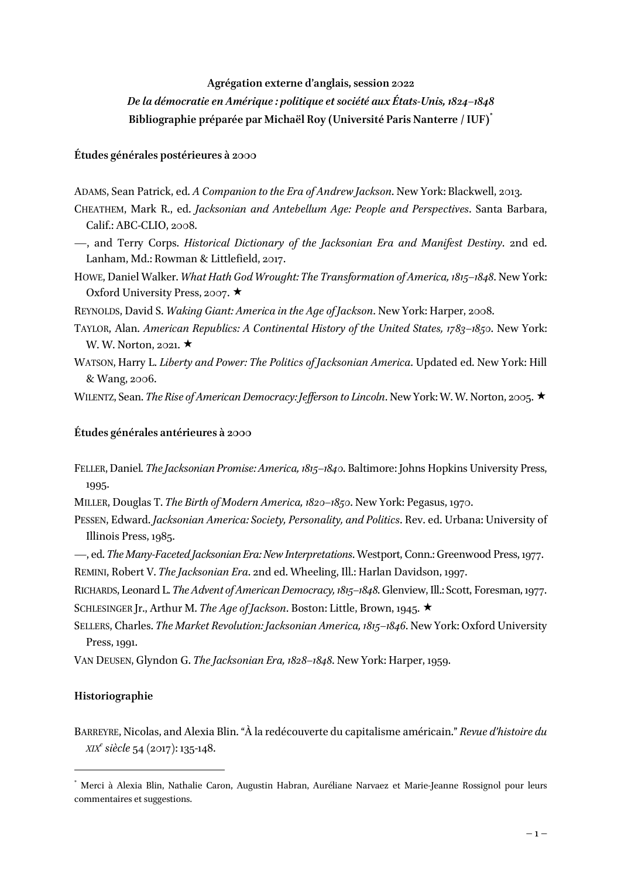### **Agrégation externe d'anglais, session 2022**

# *De la démocratie en Amérique : politique et société aux États-Unis, 1824–1848* **Bibliographie préparée par Michaël Roy (Université Paris Nanterre / IUF)\***

# **Études générales postérieures à 2000**

- ADAMS, Sean Patrick, ed. *A Companion to the Era of Andrew Jackson*. New York: Blackwell, 2013.
- CHEATHEM, Mark R., ed. *Jacksonian and Antebellum Age: People and Perspectives*. Santa Barbara, Calif.: ABC-CLIO, 2008.
- —, and Terry Corps. *Historical Dictionary of the Jacksonian Era and Manifest Destiny*. 2nd ed. Lanham, Md.: Rowman & Littlefield, 2017.
- HOWE, Daniel Walker. *What Hath God Wrought: The Transformation of America, 1815–1848*. New York: Oxford University Press, 2007.  $\star$
- REYNOLDS, David S. *Waking Giant: America in the Age of Jackson*. New York: Harper, 2008.
- TAYLOR, Alan. *American Republics: A Continental History of the United States, 1783–1850*. New York: W. W. Norton, 2021.  $\star$
- WATSON, Harry L. *Liberty and Power: The Politics of Jacksonian America*. Updated ed. New York: Hill & Wang, 2006.

WILENTZ, Sean. *The Rise of American Democracy: Jefferson to Lincoln*. New York: W. W. Norton, 2005. ★

### **Études générales antérieures à 2000**

- FELLER, Daniel. *The Jacksonian Promise: America, 1815–1840*. Baltimore: Johns Hopkins University Press, 1995.
- MILLER, Douglas T. *The Birth of Modern America, 1820–1850*. New York: Pegasus, 1970.
- PESSEN, Edward. *Jacksonian America: Society, Personality, and Politics*. Rev. ed. Urbana: University of Illinois Press, 1985.
- —, ed. *The Many-Faceted Jacksonian Era: New Interpretations*. Westport, Conn.: Greenwood Press, 1977.
- REMINI, Robert V. *The Jacksonian Era*. 2nd ed. Wheeling, Ill.: Harlan Davidson, 1997.
- RICHARDS, Leonard L. *The Advent of American Democracy, 1815–1848*. Glenview, Ill.: Scott, Foresman, 1977. SCHLESINGER Jr., Arthur M. *The Age of Jackson*. Boston: Little, Brown, 1945. ★
- SELLERS, Charles. *The Market Revolution: Jacksonian America, 1815–1846*. New York: Oxford University Press, 1991.

VAN DEUSEN, Glyndon G. *The Jacksonian Era, 1828–1848*. New York: Harper, 1959.

### **Historiographie**

BARREYRE, Nicolas, and Alexia Blin. "À la redécouverte du capitalisme américain." *Revue d'histoire du XIXe siècle* 54 (2017): 135-148.

 <sup>\*</sup> Merci à Alexia Blin, Nathalie Caron, Augustin Habran, Auréliane Narvaez et Marie-Jeanne Rossignol pour leurs commentaires et suggestions.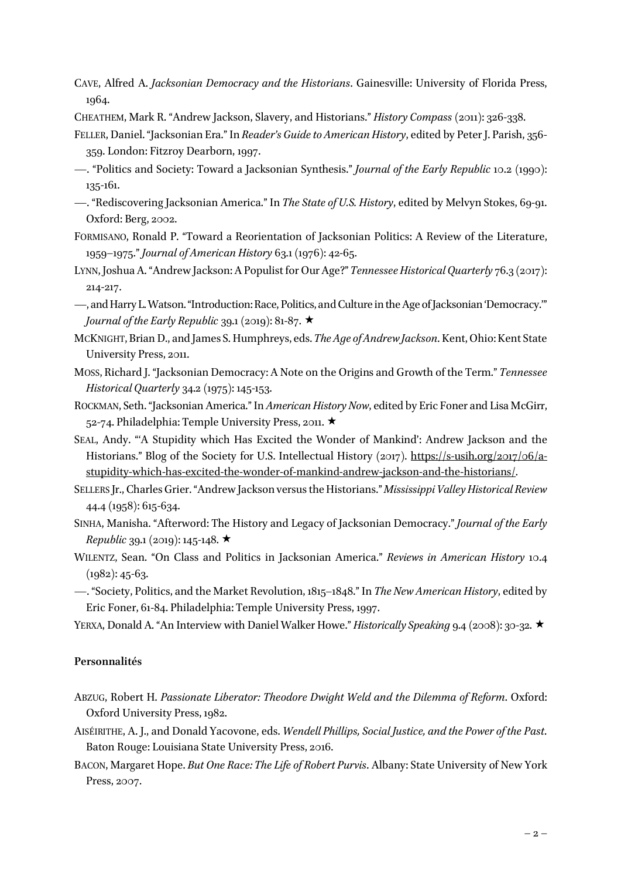CAVE, Alfred A. *Jacksonian Democracy and the Historians*. Gainesville: University of Florida Press, 1964.

CHEATHEM, Mark R. "Andrew Jackson, Slavery, and Historians." *History Compass* (2011): 326-338.

- FELLER, Daniel. "Jacksonian Era." In *Reader's Guide to American History*, edited by Peter J. Parish, 356- 359. London: Fitzroy Dearborn, 1997.
- —. "Politics and Society: Toward a Jacksonian Synthesis." *Journal of the Early Republic* 10.2 (1990): 135-161.
- —. "Rediscovering Jacksonian America." In *The State of U.S. History*, edited by Melvyn Stokes, 69-91. Oxford: Berg, 2002.
- FORMISANO, Ronald P. "Toward a Reorientation of Jacksonian Politics: A Review of the Literature, 1959–1975." *Journal of American History* 63.1 (1976): 42-65.
- LYNN, Joshua A. "Andrew Jackson: A Populist for Our Age?" *Tennessee Historical Quarterly* 76.3 (2017): 214-217.
- —, and Harry L. Watson. "Introduction: Race, Politics, and Culture in the Age of Jacksonian 'Democracy.'" *Journal of the Early Republic* 39.1 (2019): 81-87.  $\star$
- MCKNIGHT, Brian D., and James S. Humphreys, eds. *The Age of Andrew Jackson*. Kent, Ohio: Kent State University Press, 2011.
- MOSS, Richard J. "Jacksonian Democracy: A Note on the Origins and Growth of the Term." *Tennessee Historical Quarterly* 34.2 (1975): 145-153.
- ROCKMAN, Seth. "Jacksonian America." In *American History Now*, edited by Eric Foner and Lisa McGirr, 52-74. Philadelphia: Temple University Press, 2011.
- SEAL, Andy. "'A Stupidity which Has Excited the Wonder of Mankind': Andrew Jackson and the Historians." Blog of the Society for U.S. Intellectual History (2017). https://s-usih.org/2017/06/astupidity-which-has-excited-the-wonder-of-mankind-andrew-jackson-and-the-historians/.
- SELLERS Jr., Charles Grier. "Andrew Jackson versus the Historians." *Mississippi Valley Historical Review* 44.4 (1958): 615-634.
- SINHA, Manisha. "Afterword: The History and Legacy of Jacksonian Democracy." *Journal of the Early Republic* 39.1 (2019): 145-148.  $\star$
- WILENTZ, Sean. "On Class and Politics in Jacksonian America." *Reviews in American History* 10.4  $(1982): 45-63.$
- —. "Society, Politics, and the Market Revolution, 1815–1848." In *The New American History*, edited by Eric Foner, 61-84. Philadelphia: Temple University Press, 1997.
- YERXA, Donald A. "An Interview with Daniel Walker Howe." *Historically Speaking* 9.4 (2008): 30-32. ★

# **Personnalités**

- ABZUG, Robert H. *Passionate Liberator: Theodore Dwight Weld and the Dilemma of Reform*. Oxford: Oxford University Press, 1982.
- AISÉIRITHE, A. J., and Donald Yacovone, eds. *Wendell Phillips, Social Justice, and the Power of the Past*. Baton Rouge: Louisiana State University Press, 2016.
- BACON, Margaret Hope. *But One Race: The Life of Robert Purvis*. Albany: State University of New York Press, 2007.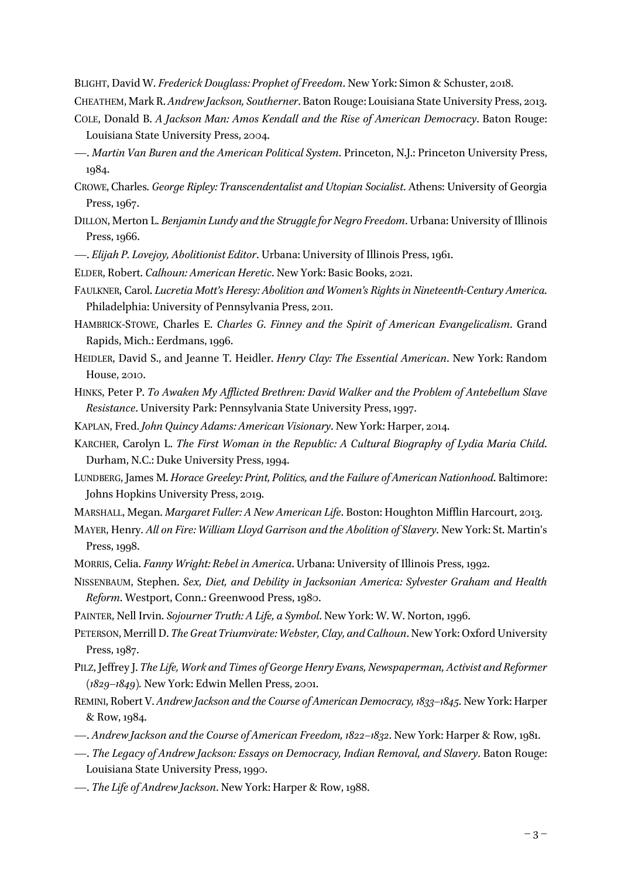BLIGHT, David W. *Frederick Douglass: Prophet of Freedom*. New York: Simon & Schuster, 2018.

CHEATHEM, Mark R. *Andrew Jackson, Southerner*. Baton Rouge: Louisiana State University Press, 2013.

- COLE, Donald B. *A Jackson Man: Amos Kendall and the Rise of American Democracy*. Baton Rouge: Louisiana State University Press, 2004.
- —. *Martin Van Buren and the American Political System*. Princeton, N.J.: Princeton University Press, 1984.
- CROWE, Charles. *George Ripley: Transcendentalist and Utopian Socialist*. Athens: University of Georgia Press, 1967.
- DILLON, Merton L. *Benjamin Lundy and the Struggle for Negro Freedom*. Urbana: University of Illinois Press, 1966.
- —. *Elijah P. Lovejoy, Abolitionist Editor*. Urbana: University of Illinois Press, 1961.
- ELDER, Robert. *Calhoun: American Heretic*. New York: Basic Books, 2021.
- FAULKNER, Carol. *Lucretia Mott's Heresy: Abolition and Women's Rights in Nineteenth-Century America*. Philadelphia: University of Pennsylvania Press, 2011.
- HAMBRICK-STOWE, Charles E. *Charles G. Finney and the Spirit of American Evangelicalism*. Grand Rapids, Mich.: Eerdmans, 1996.
- HEIDLER, David S., and Jeanne T. Heidler. *Henry Clay: The Essential American*. New York: Random House, 2010.
- HINKS, Peter P. *To Awaken My Afflicted Brethren: David Walker and the Problem of Antebellum Slave Resistance*. University Park: Pennsylvania State University Press, 1997.
- KAPLAN, Fred. *John Quincy Adams: American Visionary*. New York: Harper, 2014.
- KARCHER, Carolyn L. *The First Woman in the Republic: A Cultural Biography of Lydia Maria Child*. Durham, N.C.: Duke University Press, 1994.
- LUNDBERG, James M. *Horace Greeley: Print, Politics, and the Failure of American Nationhood*. Baltimore: Johns Hopkins University Press, 2019.
- MARSHALL, Megan. *Margaret Fuller: A New American Life*. Boston: Houghton Mifflin Harcourt, 2013.
- MAYER, Henry. *All on Fire: William Lloyd Garrison and the Abolition of Slavery*. New York: St. Martin's Press, 1998.
- MORRIS, Celia. *Fanny Wright: Rebel in America*. Urbana: University of Illinois Press, 1992.
- NISSENBAUM, Stephen. *Sex, Diet, and Debility in Jacksonian America: Sylvester Graham and Health Reform*. Westport, Conn.: Greenwood Press, 1980.
- PAINTER, Nell Irvin. *Sojourner Truth: A Life, a Symbol*. New York: W. W. Norton, 1996.
- PETERSON, Merrill D. *The Great Triumvirate: Webster, Clay, and Calhoun*. New York: Oxford University Press, 1987.
- PILZ, Jeffrey J. *The Life, Work and Times of George Henry Evans, Newspaperman, Activist and Reformer (1829–1849).* New York: Edwin Mellen Press, 2001.
- REMINI, Robert V. *Andrew Jackson and the Course of American Democracy, 1833–1845*. New York: Harper & Row, 1984.
- —. *Andrew Jackson and the Course of American Freedom, 1822–1832*. New York: Harper & Row, 1981.
- —. *The Legacy of Andrew Jackson: Essays on Democracy, Indian Removal, and Slavery*. Baton Rouge: Louisiana State University Press, 1990.
- —. *The Life of Andrew Jackson*. New York: Harper & Row, 1988.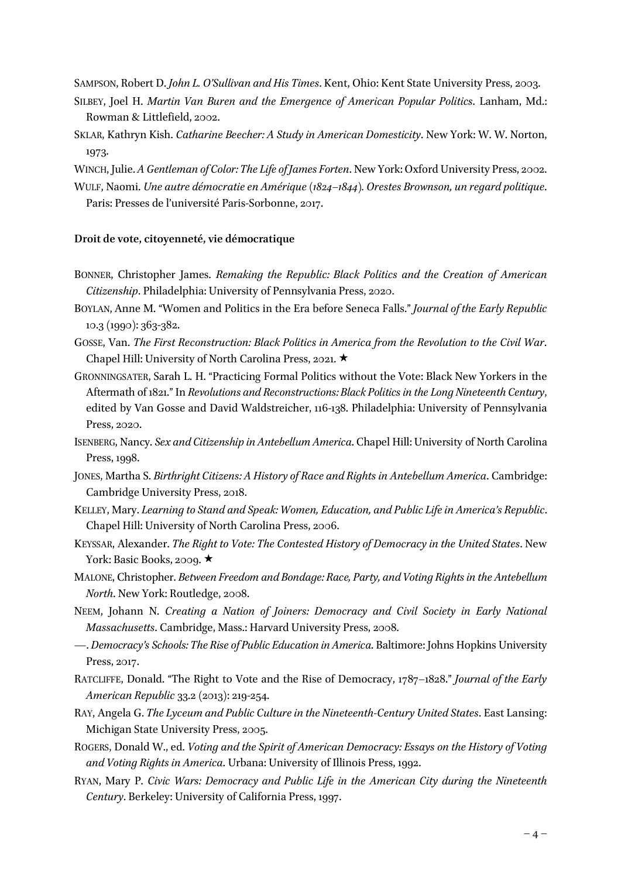SAMPSON, Robert D. *John L. O'Sullivan and His Times*. Kent, Ohio: Kent State University Press, 2003.

- SILBEY, Joel H. *Martin Van Buren and the Emergence of American Popular Politics*. Lanham, Md.: Rowman & Littlefield, 2002.
- SKLAR, Kathryn Kish. *Catharine Beecher: A Study in American Domesticity*. New York: W. W. Norton, 1973.
- WINCH, Julie. *A Gentleman of Color: The Life of James Forten*. New York: Oxford University Press, 2002.
- WULF, Naomi. *Une autre démocratie en Amérique (1824–1844). Orestes Brownson, un regard politique*. Paris: Presses de l'université Paris-Sorbonne, 2017.

### **Droit de vote, citoyenneté, vie démocratique**

- BONNER, Christopher James. *Remaking the Republic: Black Politics and the Creation of American Citizenship*. Philadelphia: University of Pennsylvania Press, 2020.
- BOYLAN, Anne M. "Women and Politics in the Era before Seneca Falls." *Journal of the Early Republic* 10.3 (1990): 363-382.
- GOSSE, Van. *The First Reconstruction: Black Politics in America from the Revolution to the Civil War*. Chapel Hill: University of North Carolina Press, 2021.  $\star$
- GRONNINGSATER, Sarah L. H. "Practicing Formal Politics without the Vote: Black New Yorkers in the Aftermath of 1821." In *Revolutions and Reconstructions: Black Politics in the Long Nineteenth Century*, edited by Van Gosse and David Waldstreicher, 116-138. Philadelphia: University of Pennsylvania Press, 2020.
- ISENBERG, Nancy. *Sex and Citizenship in Antebellum America*. Chapel Hill: University of North Carolina Press, 1998.
- JONES, Martha S. *Birthright Citizens: A History of Race and Rights in Antebellum America*. Cambridge: Cambridge University Press, 2018.
- KELLEY, Mary. *Learning to Stand and Speak: Women, Education, and Public Life in America's Republic*. Chapel Hill: University of North Carolina Press, 2006.
- KEYSSAR, Alexander. *The Right to Vote: The Contested History of Democracy in the United States*. New York: Basic Books, 2009.  $\star$
- MALONE, Christopher. *Between Freedom and Bondage: Race, Party, and Voting Rights in the Antebellum North*. New York: Routledge, 2008.
- NEEM, Johann N. *Creating a Nation of Joiners: Democracy and Civil Society in Early National Massachusetts*. Cambridge, Mass.: Harvard University Press, 2008.
- *—*. *Democracy's Schools: The Rise of Public Education in America*. Baltimore: Johns Hopkins University Press, 2017.
- RATCLIFFE, Donald. "The Right to Vote and the Rise of Democracy, 1787–1828." *Journal of the Early American Republic* 33.2 (2013): 219-254.
- RAY, Angela G. *The Lyceum and Public Culture in the Nineteenth-Century United States*. East Lansing: Michigan State University Press, 2005.
- ROGERS, Donald W., ed. *Voting and the Spirit of American Democracy: Essays on the History of Voting and Voting Rights in America*. Urbana: University of Illinois Press, 1992.
- RYAN, Mary P. *Civic Wars: Democracy and Public Life in the American City during the Nineteenth Century*. Berkeley: University of California Press, 1997.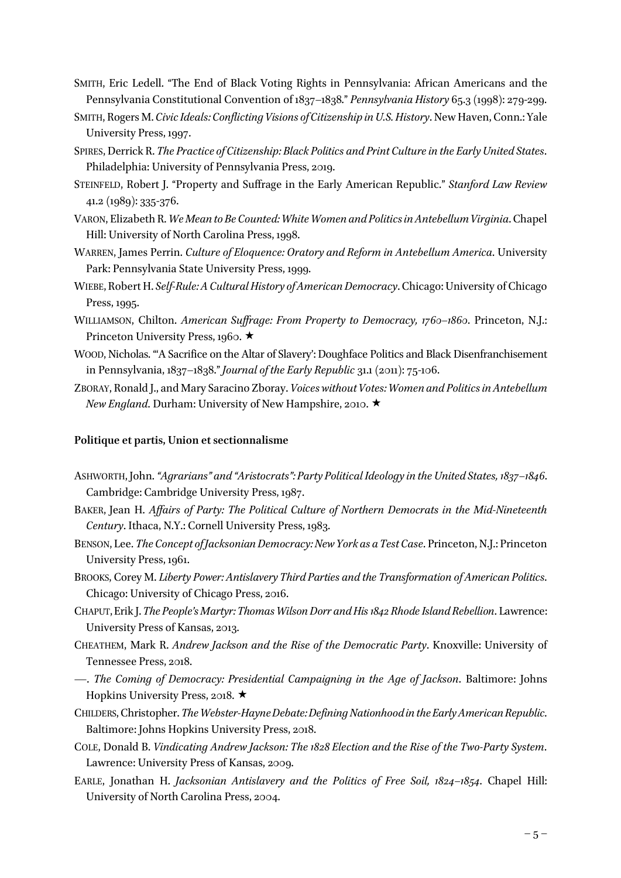- SMITH, Eric Ledell. "The End of Black Voting Rights in Pennsylvania: African Americans and the Pennsylvania Constitutional Convention of 1837–1838." *Pennsylvania History* 65.3 (1998): 279-299.
- SMITH, Rogers M. *Civic Ideals: Conflicting Visions of Citizenship in U.S. History*. New Haven, Conn.: Yale University Press, 1997.
- SPIRES, Derrick R. *The Practice of Citizenship: Black Politics and Print Culture in the Early United States*. Philadelphia: University of Pennsylvania Press, 2019.
- STEINFELD, Robert J. "Property and Suffrage in the Early American Republic." *Stanford Law Review* 41.2 (1989): 335-376.
- VARON, Elizabeth R. *We Mean to Be Counted: White Women and Politics in Antebellum Virginia*. Chapel Hill: University of North Carolina Press, 1998.
- WARREN, James Perrin. *Culture of Eloquence: Oratory and Reform in Antebellum America*. University Park: Pennsylvania State University Press, 1999.
- WIEBE, Robert H. *Self-Rule: A Cultural History of American Democracy*. Chicago: University of Chicago Press, 1995.
- WILLIAMSON, Chilton. *American Suffrage: From Property to Democracy, 1760–1860*. Princeton, N.J.: Princeton University Press, 1960.  $\star$
- WOOD, Nicholas. "'A Sacrifice on the Altar of Slavery': Doughface Politics and Black Disenfranchisement in Pennsylvania, 1837–1838." *Journal of the Early Republic* 31.1 (2011): 75-106.
- ZBORAY, Ronald J., and Mary Saracino Zboray. *Voices without Votes: Women and Politics in Antebellum New England*. Durham: University of New Hampshire, 2010. ★

# **Politique et partis, Union et sectionnalisme**

- ASHWORTH, John. *"Agrarians" and "Aristocrats": Party Political Ideology in the United States, 1837–1846*. Cambridge: Cambridge University Press, 1987.
- BAKER, Jean H. *Affairs of Party: The Political Culture of Northern Democrats in the Mid-Nineteenth Century*. Ithaca, N.Y.: Cornell University Press, 1983.
- BENSON, Lee. *The Concept of Jacksonian Democracy: New York as a Test Case*. Princeton, N.J.: Princeton University Press, 1961.
- BROOKS, Corey M. *Liberty Power: Antislavery Third Parties and the Transformation of American Politics*. Chicago: University of Chicago Press, 2016.
- CHAPUT,Erik J. *The People's Martyr: Thomas Wilson Dorr and His 1842 Rhode Island Rebellion*. Lawrence: University Press of Kansas, 2013.
- CHEATHEM, Mark R. *Andrew Jackson and the Rise of the Democratic Party*. Knoxville: University of Tennessee Press, 2018.
- —. *The Coming of Democracy: Presidential Campaigning in the Age of Jackson*. Baltimore: Johns Hopkins University Press, 2018.  $\star$
- CHILDERS, Christopher. *The Webster-Hayne Debate: Defining Nationhood in the Early American Republic*. Baltimore: Johns Hopkins University Press, 2018.
- COLE, Donald B. *Vindicating Andrew Jackson: The 1828 Election and the Rise of the Two-Party System*. Lawrence: University Press of Kansas, 2009.
- EARLE, Jonathan H. *Jacksonian Antislavery and the Politics of Free Soil, 1824–1854*. Chapel Hill: University of North Carolina Press, 2004.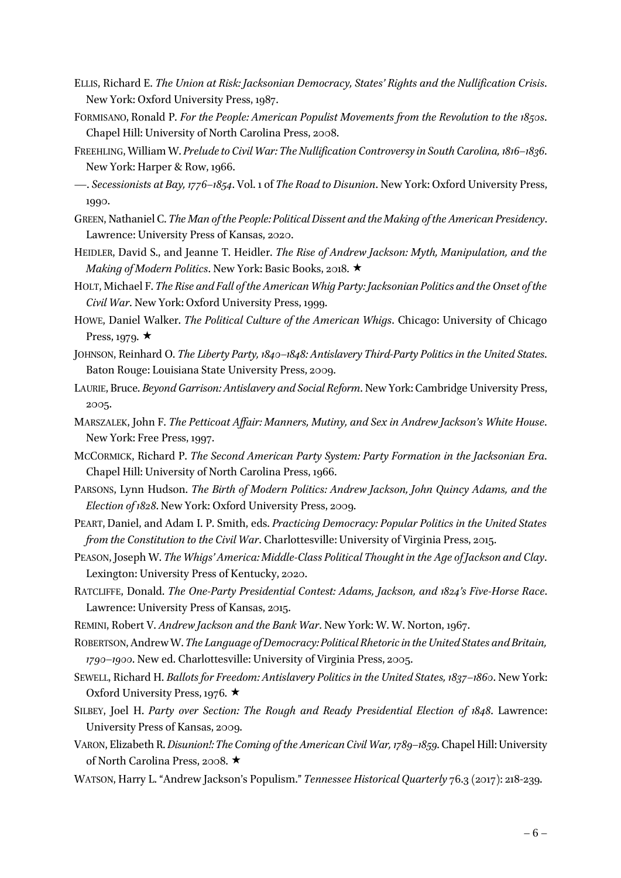- ELLIS, Richard E. *The Union at Risk: Jacksonian Democracy, States' Rights and the Nullification Crisis*. New York: Oxford University Press, 1987.
- FORMISANO, Ronald P. *For the People: American Populist Movements from the Revolution to the 1850s*. Chapel Hill: University of North Carolina Press, 2008.
- FREEHLING, William W. *Prelude to Civil War: The Nullification Controversy in South Carolina, 1816–1836*. New York: Harper & Row, 1966.
- —. *Secessionists at Bay, 1776–1854*. Vol. 1 of *The Road to Disunion*. New York: Oxford University Press, 1990.
- GREEN, Nathaniel C. *The Man of the People: Political Dissent and the Making of the American Presidency*. Lawrence: University Press of Kansas, 2020.
- HEIDLER, David S., and Jeanne T. Heidler. *The Rise of Andrew Jackson: Myth, Manipulation, and the Making of Modern Politics*. New York: Basic Books, 2018.  $\star$
- HOLT, Michael F. *The Rise and Fall of the American Whig Party: Jacksonian Politics and the Onset of the Civil War*. New York: Oxford University Press, 1999.
- HOWE, Daniel Walker. *The Political Culture of the American Whigs*. Chicago: University of Chicago Press, 1979.  $\star$
- JOHNSON, Reinhard O. *The Liberty Party, 1840–1848: Antislavery Third-Party Politics in the United States*. Baton Rouge: Louisiana State University Press, 2009.
- LAURIE, Bruce. *Beyond Garrison: Antislavery and Social Reform*. New York: Cambridge University Press, 2005.
- MARSZALEK, John F. *The Petticoat Affair: Manners, Mutiny, and Sex in Andrew Jackson's White House*. New York: Free Press, 1997.
- MCCORMICK, Richard P. *The Second American Party System: Party Formation in the Jacksonian Era*. Chapel Hill: University of North Carolina Press, 1966.
- PARSONS, Lynn Hudson. *The Birth of Modern Politics: Andrew Jackson, John Quincy Adams, and the Election of 1828*. New York: Oxford University Press, 2009.
- PEART, Daniel, and Adam I. P. Smith, eds. *Practicing Democracy: Popular Politics in the United States from the Constitution to the Civil War*. Charlottesville: University of Virginia Press, 2015.
- PEASON, Joseph W. *The Whigs' America: Middle-Class Political Thought in the Age of Jackson and Clay*. Lexington: University Press of Kentucky, 2020.
- RATCLIFFE, Donald. *The One-Party Presidential Contest: Adams, Jackson, and 1824's Five-Horse Race*. Lawrence: University Press of Kansas, 2015.
- REMINI, Robert V. *Andrew Jackson and the Bank War*. New York: W. W. Norton, 1967.
- ROBERTSON, Andrew W. *The Language of Democracy: Political Rhetoric in the United States and Britain, 1790*–*1900*. New ed. Charlottesville: University of Virginia Press, 2005.
- SEWELL, Richard H. *Ballots for Freedom: Antislavery Politics in the United States, 1837–1860*. New York: Oxford University Press, 1976.  $\star$
- SILBEY, Joel H. *Party over Section: The Rough and Ready Presidential Election of 1848*. Lawrence: University Press of Kansas, 2009.
- VARON, Elizabeth R. *Disunion!: The Coming of the American Civil War, 1789–1859*. Chapel Hill: University of North Carolina Press, 2008. ★
- WATSON, Harry L. "Andrew Jackson's Populism." *Tennessee Historical Quarterly* 76.3 (2017): 218-239.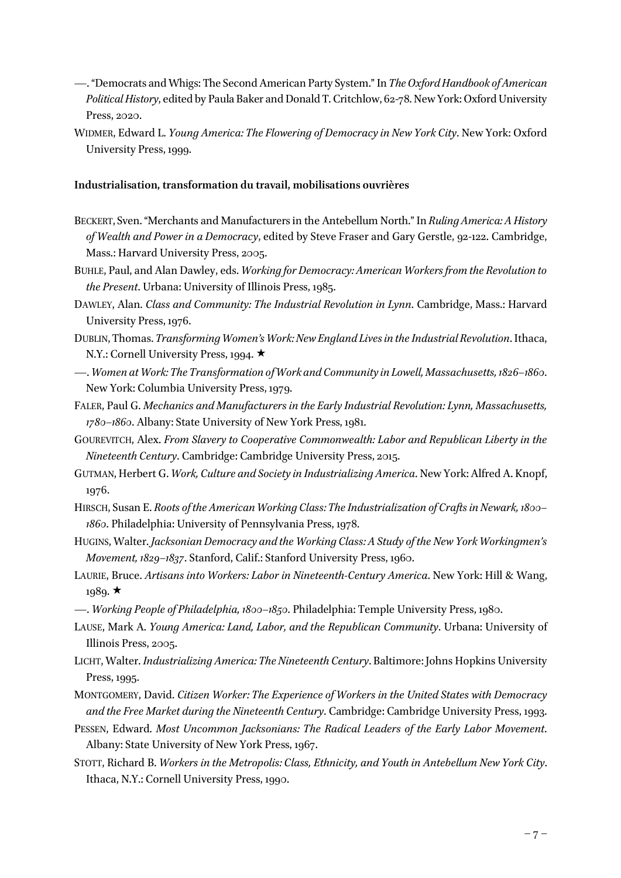- —. "Democrats and Whigs: The Second American Party System." In *The Oxford Handbook of American Political History*, edited by Paula Baker and Donald T. Critchlow, 62-78. New York: Oxford University Press, 2020.
- WIDMER, Edward L. *Young America: The Flowering of Democracy in New York City*. New York: Oxford University Press, 1999.

# **Industrialisation, transformation du travail, mobilisations ouvrières**

- BECKERT, Sven. "Merchants and Manufacturers in the Antebellum North." In *Ruling America: A History of Wealth and Power in a Democracy*, edited by Steve Fraser and Gary Gerstle, 92-122. Cambridge, Mass.: Harvard University Press, 2005.
- BUHLE, Paul, and Alan Dawley, eds. *Working for Democracy: American Workers from the Revolution to the Present*. Urbana: University of Illinois Press, 1985.
- DAWLEY, Alan. *Class and Community: The Industrial Revolution in Lynn*. Cambridge, Mass.: Harvard University Press, 1976.
- DUBLIN, Thomas. *Transforming Women's Work: New England Lives in the Industrial Revolution*. Ithaca, N.Y.: Cornell University Press, 1994. ★
- —. *Women at Work: The Transformation of Work and Community in Lowell, Massachusetts, 1826–1860*. New York: Columbia University Press, 1979.
- FALER, Paul G. *Mechanics and Manufacturers in the Early Industrial Revolution: Lynn, Massachusetts, 1780–1860*. Albany: State University of New York Press, 1981.
- GOUREVITCH, Alex. *From Slavery to Cooperative Commonwealth: Labor and Republican Liberty in the Nineteenth Century*. Cambridge: Cambridge University Press, 2015.
- GUTMAN, Herbert G. *Work, Culture and Society in Industrializing America*. New York: Alfred A. Knopf, 1976.
- HIRSCH, Susan E. *Roots of the American Working Class: The Industrialization of Crafts in Newark, 1800– 1860*. Philadelphia: University of Pennsylvania Press, 1978.
- HUGINS, Walter. *Jacksonian Democracy and the Working Class: A Study of the New York Workingmen's Movement, 1829–1837*. Stanford, Calif.: Stanford University Press, 1960.
- LAURIE, Bruce. *Artisans into Workers: Labor in Nineteenth-Century America*. New York: Hill & Wang, 1989.  $\star$
- —. *Working People of Philadelphia, 1800–1850*. Philadelphia: Temple University Press, 1980.
- LAUSE, Mark A. *Young America: Land, Labor, and the Republican Community*. Urbana: University of Illinois Press, 2005.
- LICHT, Walter. *Industrializing America: The Nineteenth Century*. Baltimore: Johns Hopkins University Press, 1995.
- MONTGOMERY, David. *Citizen Worker: The Experience of Workers in the United States with Democracy and the Free Market during the Nineteenth Century*. Cambridge: Cambridge University Press, 1993.
- PESSEN, Edward. *Most Uncommon Jacksonians: The Radical Leaders of the Early Labor Movement*. Albany: State University of New York Press, 1967.
- STOTT, Richard B. *Workers in the Metropolis: Class, Ethnicity, and Youth in Antebellum New York City*. Ithaca, N.Y.: Cornell University Press, 1990.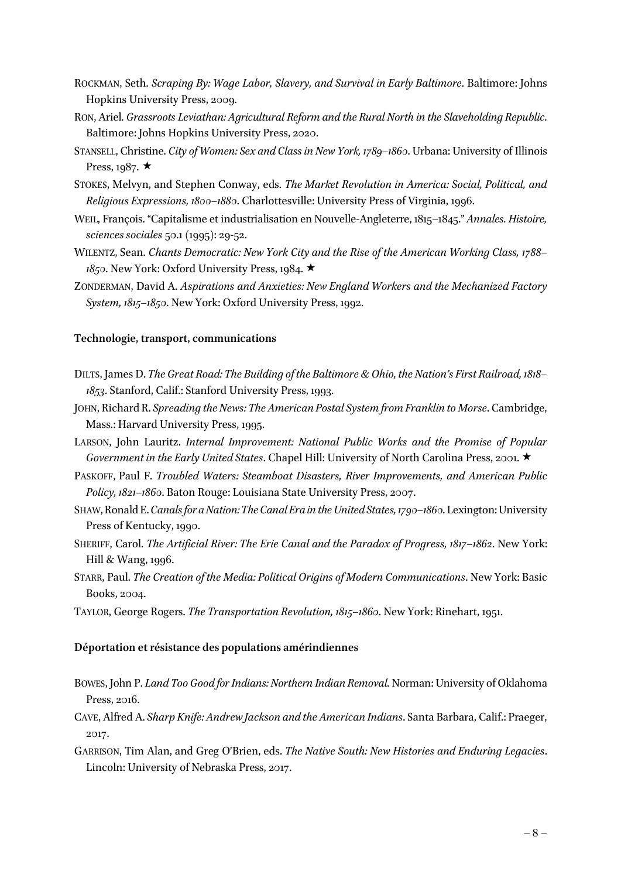- ROCKMAN, Seth. *Scraping By: Wage Labor, Slavery, and Survival in Early Baltimore*. Baltimore: Johns Hopkins University Press, 2009.
- RON, Ariel. *Grassroots Leviathan: Agricultural Reform and the Rural North in the Slaveholding Republic*. Baltimore: Johns Hopkins University Press, 2020.
- STANSELL, Christine. *City of Women: Sex and Class in New York, 1789–1860*. Urbana: University of Illinois Press, 1987.  $\star$
- STOKES, Melvyn, and Stephen Conway, eds. *The Market Revolution in America: Social, Political, and Religious Expressions, 1800–1880*. Charlottesville: University Press of Virginia, 1996.
- WEIL, François. "Capitalisme et industrialisation en Nouvelle-Angleterre, 1815–1845." *Annales. Histoire, sciences sociales* 50.1 (1995): 29-52.
- WILENTZ, Sean. *Chants Democratic: New York City and the Rise of the American Working Class, 1788– 1850*. New York: Oxford University Press, 1984. ★
- ZONDERMAN, David A. *Aspirations and Anxieties: New England Workers and the Mechanized Factory System, 1815–1850*. New York: Oxford University Press, 1992.

#### **Technologie, transport, communications**

- DILTS, James D. *The Great Road: The Building of the Baltimore & Ohio, the Nation's First Railroad, 1818– 1853*. Stanford, Calif.: Stanford University Press, 1993.
- JOHN, Richard R. *Spreading the News: The American Postal System from Franklin to Morse*. Cambridge, Mass.: Harvard University Press, 1995.
- LARSON, John Lauritz. *Internal Improvement: National Public Works and the Promise of Popular Government in the Early United States.* Chapel Hill: University of North Carolina Press, 2001. ★
- PASKOFF, Paul F. *Troubled Waters: Steamboat Disasters, River Improvements, and American Public Policy, 1821–1860*. Baton Rouge: Louisiana State University Press, 2007.
- SHAW, Ronald E. *Canals for a Nation: The Canal Era in the United States, 1790-1860*. Lexington: University Press of Kentucky, 1990.
- SHERIFF, Carol. *The Artificial River: The Erie Canal and the Paradox of Progress, 1817–1862*. New York: Hill & Wang, 1996.
- STARR, Paul. *The Creation of the Media: Political Origins of Modern Communications*. New York: Basic Books, 2004.
- TAYLOR, George Rogers. *The Transportation Revolution, 1815–1860*. New York: Rinehart, 1951.

# **Déportation et résistance des populations amérindiennes**

- BOWES, John P. *Land Too Good for Indians: Northern Indian Removal*. Norman: University of Oklahoma Press, 2016.
- CAVE, Alfred A. *Sharp Knife: Andrew Jackson and the American Indians*. Santa Barbara, Calif.: Praeger, 2017.
- GARRISON, Tim Alan, and Greg O'Brien, eds. *The Native South: New Histories and Enduring Legacies*. Lincoln: University of Nebraska Press, 2017.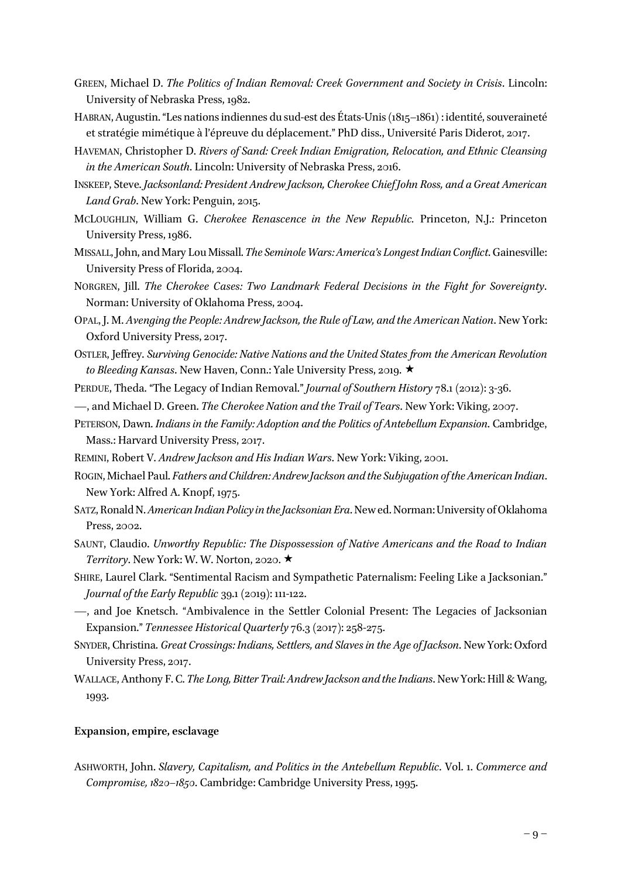- GREEN, Michael D. *The Politics of Indian Removal: Creek Government and Society in Crisis*. Lincoln: University of Nebraska Press, 1982.
- HABRAN, Augustin. "Les nations indiennes du sud-est des États-Unis (1815–1861) : identité, souveraineté et stratégie mimétique à l'épreuve du déplacement." PhD diss., Université Paris Diderot, 2017.
- HAVEMAN, Christopher D. *Rivers of Sand: Creek Indian Emigration, Relocation, and Ethnic Cleansing in the American South*. Lincoln: University of Nebraska Press, 2016.
- INSKEEP, Steve. *Jacksonland: President Andrew Jackson, Cherokee Chief John Ross, and a Great American Land Grab*. New York: Penguin, 2015.
- MCLOUGHLIN, William G. *Cherokee Renascence in the New Republic.* Princeton, N.J.: Princeton University Press, 1986.
- MISSALL, John, and Mary Lou Missall. *The Seminole Wars: America's Longest Indian Conflict*. Gainesville: University Press of Florida, 2004.
- NORGREN, Jill. *The Cherokee Cases: Two Landmark Federal Decisions in the Fight for Sovereignty*. Norman: University of Oklahoma Press, 2004.
- OPAL, J. M. *Avenging the People: Andrew Jackson, the Rule of Law, and the American Nation*. New York: Oxford University Press, 2017.
- OSTLER, Jeffrey. *Surviving Genocide: Native Nations and the United States from the American Revolution to Bleeding Kansas*. New Haven, Conn.: Yale University Press, 2019. ★
- PERDUE, Theda. "The Legacy of Indian Removal." *Journal of Southern History* 78.1 (2012): 3-36.
- —, and Michael D. Green. *The Cherokee Nation and the Trail of Tears*. New York: Viking, 2007.
- PETERSON, Dawn. *Indians in the Family: Adoption and the Politics of Antebellum Expansion*. Cambridge, Mass.: Harvard University Press, 2017.
- REMINI, Robert V. *Andrew Jackson and His Indian Wars*. New York: Viking, 2001.
- ROGIN, Michael Paul. *Fathers and Children: Andrew Jackson and the Subjugation of the American Indian*. New York: Alfred A. Knopf, 1975.
- SATZ, Ronald N. *American Indian Policy in the Jacksonian Era*. New ed.Norman: University of Oklahoma Press, 2002.
- SAUNT, Claudio. *Unworthy Republic: The Dispossession of Native Americans and the Road to Indian Territory*. New York: W. W. Norton, 2020.  $\star$
- SHIRE, Laurel Clark. "Sentimental Racism and Sympathetic Paternalism: Feeling Like a Jacksonian." *Journal of the Early Republic* 39.1 (2019): 111-122.
- —, and Joe Knetsch. "Ambivalence in the Settler Colonial Present: The Legacies of Jacksonian Expansion." *Tennessee Historical Quarterly* 76.3 (2017): 258-275.
- SNYDER, Christina. *Great Crossings: Indians, Settlers, and Slaves in the Age of Jackson*. New York: Oxford University Press, 2017.
- WALLACE, Anthony F. C. *The Long, Bitter Trail: Andrew Jackson and the Indians*. New York: Hill & Wang, 1993.

#### **Expansion, empire, esclavage**

ASHWORTH, John. *Slavery, Capitalism, and Politics in the Antebellum Republic*. Vol. 1. *Commerce and Compromise, 1820–1850*. Cambridge: Cambridge University Press, 1995.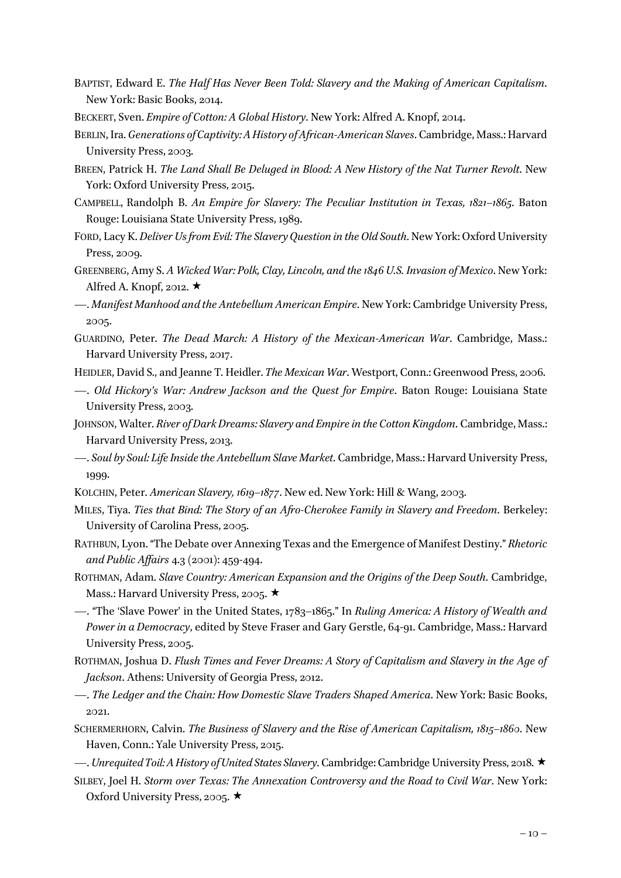- BAPTIST, Edward E. *The Half Has Never Been Told: Slavery and the Making of American Capitalism*. New York: Basic Books, 2014.
- BECKERT, Sven. *Empire of Cotton: A Global History*. New York: Alfred A. Knopf, 2014.
- BERLIN, Ira. *Generations of Captivity: A History of African-American Slaves*. Cambridge, Mass.: Harvard University Press, 2003.
- BREEN, Patrick H. *The Land Shall Be Deluged in Blood: A New History of the Nat Turner Revolt*. New York: Oxford University Press, 2015.
- CAMPBELL, Randolph B. *An Empire for Slavery: The Peculiar Institution in Texas, 1821–1865*. Baton Rouge: Louisiana State University Press, 1989.
- FORD, Lacy K. *Deliver Us from Evil: The Slavery Question in the Old South*. New York: Oxford University Press, 2009.
- GREENBERG, Amy S. *A Wicked War: Polk, Clay, Lincoln, and the 1846 U.S. Invasion of Mexico*. New York: Alfred A. Knopf, 2012.  $\star$
- —. *Manifest Manhood and the Antebellum American Empire*. New York: Cambridge University Press, 2005.
- GUARDINO, Peter. *The Dead March: A History of the Mexican-American War*. Cambridge, Mass.: Harvard University Press, 2017.
- HEIDLER, David S., and Jeanne T. Heidler. *The Mexican War*. Westport, Conn.: Greenwood Press, 2006.
- —. *Old Hickory's War: Andrew Jackson and the Quest for Empire*. Baton Rouge: Louisiana State University Press, 2003.
- JOHNSON, Walter. *River of Dark Dreams: Slavery and Empire in the Cotton Kingdom*. Cambridge, Mass.: Harvard University Press, 2013.
- —. *Soul by Soul: Life Inside the Antebellum Slave Market*. Cambridge, Mass.: Harvard University Press, 1999.
- KOLCHIN, Peter. *American Slavery, 1619–1877*. New ed. New York: Hill & Wang, 2003.
- MILES, Tiya. *Ties that Bind: The Story of an Afro-Cherokee Family in Slavery and Freedom*. Berkeley: University of Carolina Press, 2005.
- RATHBUN, Lyon. "The Debate over Annexing Texas and the Emergence of Manifest Destiny." *Rhetoric and Public Affairs* 4.3 (2001): 459-494.
- ROTHMAN, Adam. *Slave Country: American Expansion and the Origins of the Deep South*. Cambridge, Mass.: Harvard University Press, 2005. ★
- —. "The 'Slave Power' in the United States, 1783–1865." In *Ruling America: A History of Wealth and Power in a Democracy*, edited by Steve Fraser and Gary Gerstle, 64-91. Cambridge, Mass.: Harvard University Press, 2005.
- ROTHMAN, Joshua D. *Flush Times and Fever Dreams: A Story of Capitalism and Slavery in the Age of Jackson*. Athens: University of Georgia Press, 2012.
- —. *The Ledger and the Chain: How Domestic Slave Traders Shaped America*. New York: Basic Books, 2021.
- SCHERMERHORN, Calvin. *The Business of Slavery and the Rise of American Capitalism, 1815–1860*. New Haven, Conn.: Yale University Press, 2015.
- —. *Unrequited Toil: A History of United States Slavery*. Cambridge: Cambridge University Press, 2018. «
- SILBEY, Joel H. *Storm over Texas: The Annexation Controversy and the Road to Civil War*. New York: Oxford University Press, 2005.  $\star$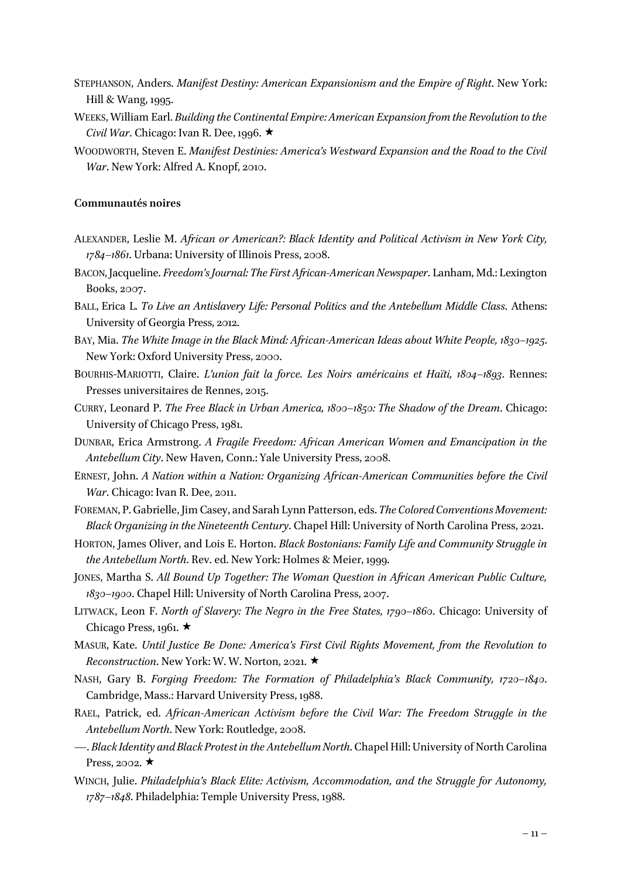- STEPHANSON, Anders. *Manifest Destiny: American Expansionism and the Empire of Right*. New York: Hill & Wang, 1995.
- WEEKS, William Earl. *Building the Continental Empire: American Expansion from the Revolution to the Civil War*. Chicago: Ivan R. Dee, 1996.  $\star$
- WOODWORTH, Steven E. *Manifest Destinies: America's Westward Expansion and the Road to the Civil War*. New York: Alfred A. Knopf, 2010.

# **Communautés noires**

- ALEXANDER, Leslie M. *African or American?: Black Identity and Political Activism in New York City, 1784–1861*. Urbana: University of Illinois Press, 2008.
- BACON, Jacqueline. *Freedom's Journal: The First African-American Newspaper*. Lanham, Md.: Lexington Books, 2007.
- BALL, Erica L. *To Live an Antislavery Life: Personal Politics and the Antebellum Middle Class*. Athens: University of Georgia Press, 2012.
- BAY, Mia. *The White Image in the Black Mind: African-American Ideas about White People, 1830–1925*. New York: Oxford University Press, 2000.
- BOURHIS-MARIOTTI, Claire. *L'union fait la force. Les Noirs américains et Haïti, 1804–1893*. Rennes: Presses universitaires de Rennes, 2015.
- CURRY, Leonard P. *The Free Black in Urban America, 1800–1850: The Shadow of the Dream*. Chicago: University of Chicago Press, 1981.
- DUNBAR, Erica Armstrong. *A Fragile Freedom: African American Women and Emancipation in the Antebellum City*. New Haven, Conn.: Yale University Press, 2008.
- ERNEST, John. *A Nation within a Nation: Organizing African-American Communities before the Civil War*. Chicago: Ivan R. Dee, 2011.
- FOREMAN, P. Gabrielle, Jim Casey, and Sarah Lynn Patterson, eds. *The Colored Conventions Movement: Black Organizing in the Nineteenth Century*. Chapel Hill: University of North Carolina Press, 2021.
- HORTON, James Oliver, and Lois E. Horton. *Black Bostonians: Family Life and Community Struggle in the Antebellum North*. Rev. ed. New York: Holmes & Meier, 1999.
- JONES, Martha S. *All Bound Up Together: The Woman Question in African American Public Culture, 1830–1900*. Chapel Hill: University of North Carolina Press, 2007.
- LITWACK, Leon F. *North of Slavery: The Negro in the Free States, 1790–1860*. Chicago: University of Chicago Press, 1961.  $\star$
- MASUR, Kate. *Until Justice Be Done: America's First Civil Rights Movement, from the Revolution to Reconstruction.* New York: W. W. Norton, 2021. ★
- NASH, Gary B. *Forging Freedom: The Formation of Philadelphia's Black Community, 1720–1840*. Cambridge, Mass.: Harvard University Press, 1988.
- RAEL, Patrick, ed. *African-American Activism before the Civil War: The Freedom Struggle in the Antebellum North*. New York: Routledge, 2008.
- —. *Black Identity and Black Protest in the Antebellum North*. Chapel Hill: University of North Carolina Press, 2002.  $\star$
- WINCH, Julie. *Philadelphia's Black Elite: Activism, Accommodation, and the Struggle for Autonomy, 1787–1848*. Philadelphia: Temple University Press, 1988.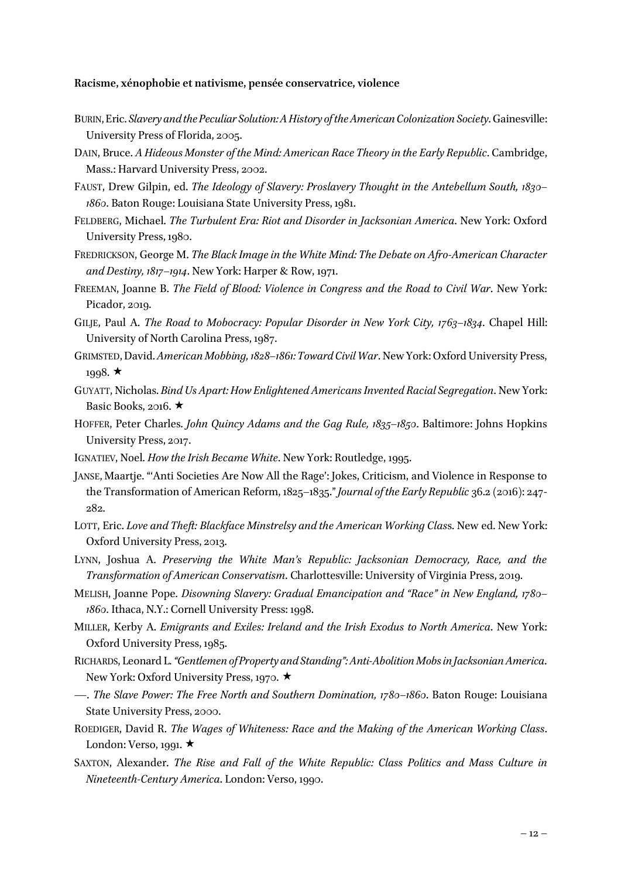#### **Racisme, xénophobie et nativisme, pensée conservatrice, violence**

- BURIN, Eric. *Slavery and the Peculiar Solution: A History of the American Colonization Society*. Gainesville: University Press of Florida, 2005.
- DAIN, Bruce. *A Hideous Monster of the Mind: American Race Theory in the Early Republic*. Cambridge, Mass.: Harvard University Press, 2002.
- FAUST, Drew Gilpin, ed. *The Ideology of Slavery: Proslavery Thought in the Antebellum South, 1830– 1860*. Baton Rouge: Louisiana State University Press, 1981.
- FELDBERG, Michael. *The Turbulent Era: Riot and Disorder in Jacksonian America*. New York: Oxford University Press, 1980.
- FREDRICKSON, George M. *The Black Image in the White Mind: The Debate on Afro-American Character and Destiny, 1817–1914*. New York: Harper & Row, 1971.
- FREEMAN, Joanne B. *The Field of Blood: Violence in Congress and the Road to Civil War*. New York: Picador, 2019.
- GILJE, Paul A. *The Road to Mobocracy: Popular Disorder in New York City, 1763–1834*. Chapel Hill: University of North Carolina Press, 1987.
- GRIMSTED, David.*American Mobbing, 1828–1861: Toward Civil War*. New York: Oxford University Press, 1998.  $\star$
- GUYATT, Nicholas. *Bind Us Apart: How Enlightened Americans Invented Racial Segregation*. New York: Basic Books, 2016.  $\star$
- HOFFER, Peter Charles. *John Quincy Adams and the Gag Rule, 1835–1850*. Baltimore: Johns Hopkins University Press, 2017.
- IGNATIEV, Noel. *How the Irish Became White*. New York: Routledge, 1995.
- JANSE, Maartje. "'Anti Societies Are Now All the Rage': Jokes, Criticism, and Violence in Response to the Transformation of American Reform, 1825–1835." *Journal of the Early Republic* 36.2 (2016): 247- 282.
- LOTT, Eric. *Love and Theft: Blackface Minstrelsy and the American Working Clas*s. New ed. New York: Oxford University Press, 2013.
- LYNN, Joshua A. *Preserving the White Man's Republic: Jacksonian Democracy, Race, and the Transformation of American Conservatism*. Charlottesville: University of Virginia Press, 2019.
- MELISH, Joanne Pope. *Disowning Slavery: Gradual Emancipation and "Race" in New England, 1780– 1860*. Ithaca, N.Y.: Cornell University Press: 1998.
- MILLER, Kerby A. *Emigrants and Exiles: Ireland and the Irish Exodus to North America*. New York: Oxford University Press, 1985.
- RICHARDS, Leonard L. *"Gentlemen of Property and Standing": Anti-Abolition Mobs in Jacksonian America*. New York: Oxford University Press, 1970. ★
- —. *The Slave Power: The Free North and Southern Domination, 1780–1860*. Baton Rouge: Louisiana State University Press, 2000.
- ROEDIGER, David R. *The Wages of Whiteness: Race and the Making of the American Working Class*. London: Verso, 1991.  $\star$
- SAXTON, Alexander. *The Rise and Fall of the White Republic: Class Politics and Mass Culture in Nineteenth-Century America*. London: Verso, 1990.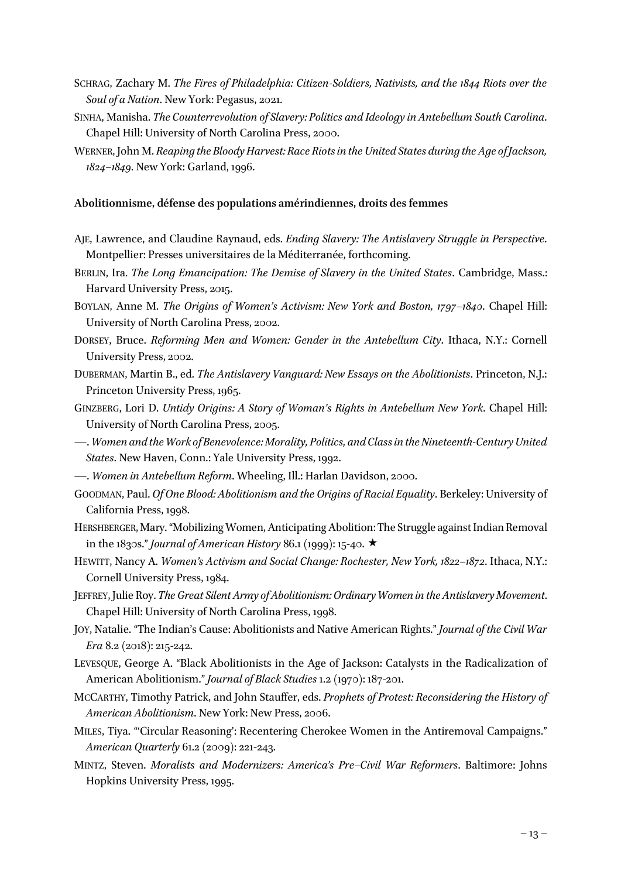- SCHRAG, Zachary M. *The Fires of Philadelphia: Citizen-Soldiers, Nativists, and the 1844 Riots over the Soul of a Nation*. New York: Pegasus, 2021.
- SINHA, Manisha. *The Counterrevolution of Slavery: Politics and Ideology in Antebellum South Carolina*. Chapel Hill: University of North Carolina Press, 2000.
- WERNER, John M. *Reaping the Bloody Harvest: Race Riots in the United States during the Age ofJackson, 1824–1849*. New York: Garland, 1996.

#### **Abolitionnisme, défense des populations amérindiennes, droits des femmes**

- AJE, Lawrence, and Claudine Raynaud, eds. *Ending Slavery: The Antislavery Struggle in Perspective*. Montpellier: Presses universitaires de la Méditerranée, forthcoming.
- BERLIN, Ira. *The Long Emancipation: The Demise of Slavery in the United States*. Cambridge, Mass.: Harvard University Press, 2015.
- BOYLAN, Anne M. *The Origins of Women's Activism: New York and Boston, 1797–1840*. Chapel Hill: University of North Carolina Press, 2002.
- DORSEY, Bruce. *Reforming Men and Women: Gender in the Antebellum City*. Ithaca, N.Y.: Cornell University Press, 2002.
- DUBERMAN, Martin B., ed. *The Antislavery Vanguard: New Essays on the Abolitionists*. Princeton, N.J.: Princeton University Press, 1965.
- GINZBERG, Lori D. *Untidy Origins: A Story of Woman's Rights in Antebellum New York*. Chapel Hill: University of North Carolina Press, 2005.
- —. *Women and the Work of Benevolence: Morality, Politics, and Class in the Nineteenth-Century United States*. New Haven, Conn.: Yale University Press, 1992.
- —. *Women in Antebellum Reform*. Wheeling, Ill.: Harlan Davidson, 2000.
- GOODMAN, Paul. *Of One Blood: Abolitionism and the Origins of Racial Equality*. Berkeley: University of California Press, 1998.
- HERSHBERGER, Mary. "Mobilizing Women, Anticipating Abolition: The Struggle against Indian Removal in the 1830s." *Journal of American History* 86.1 (1999): 15-40.  $\star$
- HEWITT, Nancy A. *Women's Activism and Social Change: Rochester, New York, 1822–1872*. Ithaca, N.Y.: Cornell University Press, 1984.
- JEFFREY, Julie Roy. *The Great Silent Army of Abolitionism: Ordinary Women in the Antislavery Movement*. Chapel Hill: University of North Carolina Press, 1998.
- JOY, Natalie. "The Indian's Cause: Abolitionists and Native American Rights." *Journal of the Civil War Era* 8.2 (2018): 215-242.
- LEVESQUE, George A. "Black Abolitionists in the Age of Jackson: Catalysts in the Radicalization of American Abolitionism." *Journal of Black Studies* 1.2 (1970): 187-201.
- MCCARTHY, Timothy Patrick, and John Stauffer, eds. *Prophets of Protest: Reconsidering the History of American Abolitionism*. New York: New Press, 2006.
- MILES, Tiya. "'Circular Reasoning': Recentering Cherokee Women in the Antiremoval Campaigns." *American Quarterly* 61.2 (2009): 221-243.
- MINTZ, Steven. *Moralists and Modernizers: America's Pre–Civil War Reformers*. Baltimore: Johns Hopkins University Press, 1995.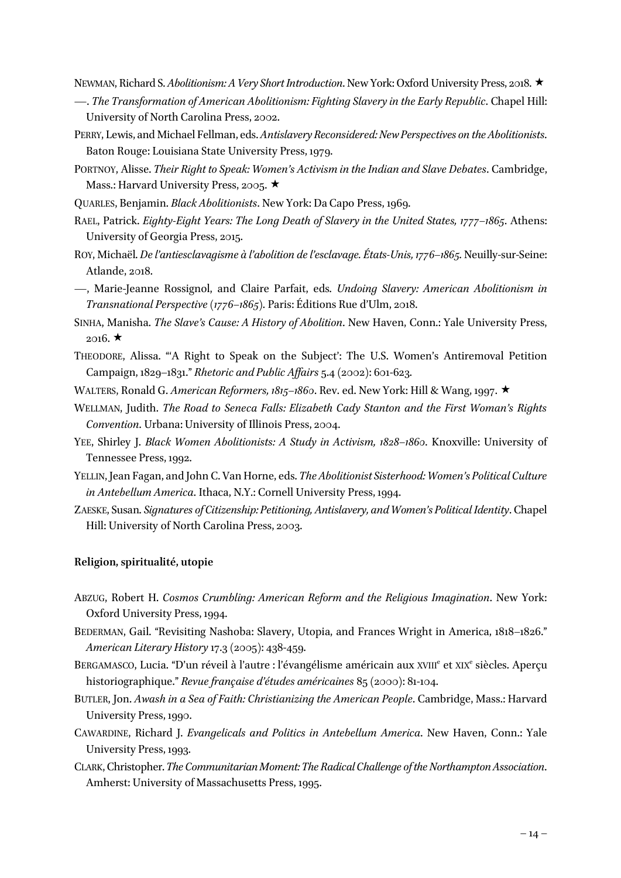NEWMAN, Richard S. *Abolitionism: A Very Short Introduction*. New York: Oxford University Press, 2018. ★

- —. *The Transformation of American Abolitionism: Fighting Slavery in the Early Republic*. Chapel Hill: University of North Carolina Press, 2002.
- PERRY, Lewis, and Michael Fellman, eds. *Antislavery Reconsidered: New Perspectives on the Abolitionists*. Baton Rouge: Louisiana State University Press, 1979.
- PORTNOY, Alisse. *Their Right to Speak: Women's Activism in the Indian and Slave Debates*. Cambridge, Mass.: Harvard University Press, 2005.  $\star$
- QUARLES, Benjamin. *Black Abolitionists*. New York: Da Capo Press, 1969.
- RAEL, Patrick. *Eighty-Eight Years: The Long Death of Slavery in the United States, 1777–1865*. Athens: University of Georgia Press, 2015.
- ROY, Michaël. *De l'antiesclavagisme à l'abolition de l'esclavage. États-Unis, 1776–1865*. Neuilly-sur-Seine: Atlande, 2018.
- —, Marie-Jeanne Rossignol, and Claire Parfait, eds. *Undoing Slavery: American Abolitionism in Transnational Perspective (1776–1865)*. Paris: Éditions Rue d'Ulm, 2018.

SINHA, Manisha. *The Slave's Cause: A History of Abolition*. New Haven, Conn.: Yale University Press,  $2016. \star$ 

- THEODORE, Alissa. "'A Right to Speak on the Subject': The U.S. Women's Antiremoval Petition Campaign, 1829–1831." *Rhetoric and Public Affairs* 5.4 (2002): 601-623.
- WALTERS, Ronald G. *American Reformers, 1815–1860*. Rev. ed. New York: Hill & Wang, 1997. ★
- WELLMAN, Judith. *The Road to Seneca Falls: Elizabeth Cady Stanton and the First Woman's Rights Convention*. Urbana: University of Illinois Press, 2004.
- YEE, Shirley J. *Black Women Abolitionists: A Study in Activism, 1828-1860*. Knoxville: University of Tennessee Press, 1992.
- YELLIN, Jean Fagan, and John C. Van Horne, eds. *The Abolitionist Sisterhood: Women's Political Culture in Antebellum America*. Ithaca, N.Y.: Cornell University Press, 1994.
- ZAESKE, Susan. *Signatures of Citizenship: Petitioning, Antislavery, and Women's Political Identity*. Chapel Hill: University of North Carolina Press, 2003.

# **Religion, spiritualité, utopie**

ABZUG, Robert H. *Cosmos Crumbling: American Reform and the Religious Imagination*. New York: Oxford University Press, 1994.

BEDERMAN, Gail. "Revisiting Nashoba: Slavery, Utopia, and Frances Wright in America, 1818–1826." *American Literary History* 17.3 (2005): 438-459.

- BERGAMASCO, Lucia. "D'un réveil à l'autre : l'évangélisme américain aux XVIII<sup>e</sup> et XIX<sup>e</sup> siècles. Aperçu historiographique." *Revue française d'études américaines* 85 (2000): 81-104.
- BUTLER, Jon. *Awash in a Sea of Faith: Christianizing the American People*. Cambridge, Mass.: Harvard University Press, 1990.
- CAWARDINE, Richard J. *Evangelicals and Politics in Antebellum America*. New Haven, Conn.: Yale University Press, 1993.
- CLARK, Christopher. *The Communitarian Moment: The Radical Challenge of the Northampton Association*. Amherst: University of Massachusetts Press, 1995.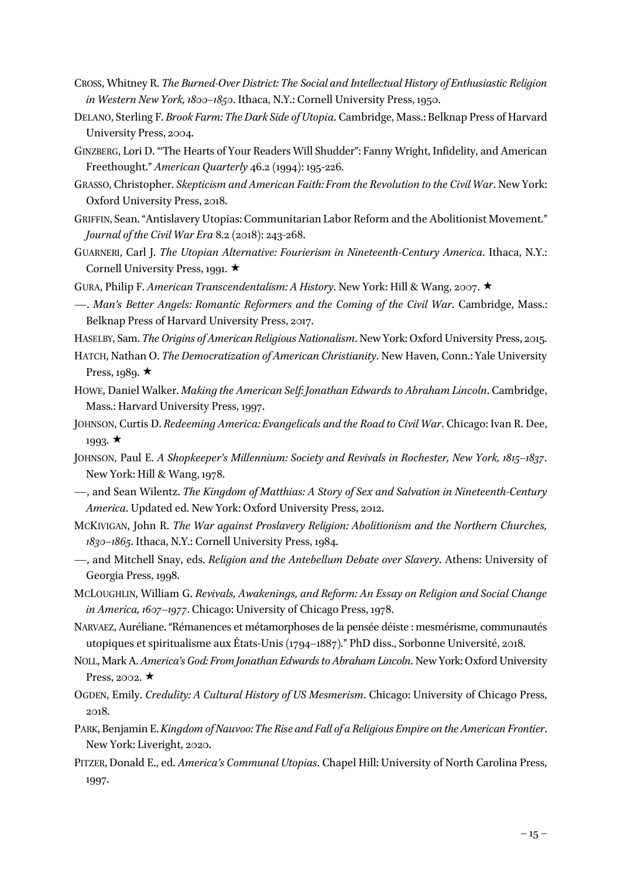- CROSS, Whitney R. *The Burned-Over District: The Social and Intellectual History of Enthusiastic Religion in Western New York, 1800–1850*. Ithaca, N.Y.: Cornell University Press, 1950.
- DELANO, Sterling F. *Brook Farm: The Dark Side of Utopia*. Cambridge, Mass.: Belknap Press of Harvard University Press, 2004.
- GINZBERG, Lori D. "'The Hearts of Your Readers Will Shudder": Fanny Wright, Infidelity, and American Freethought." *American Quarterly* 46.2 (1994): 195-226.
- GRASSO, Christopher. *Skepticism and American Faith: From the Revolution to the Civil War*. New York: Oxford University Press, 2018.
- GRIFFIN, Sean. "Antislavery Utopias: Communitarian Labor Reform and the Abolitionist Movement." *Journal of the Civil War Era* 8.2 (2018): 243-268.
- GUARNERI, Carl J. *The Utopian Alternative: Fourierism in Nineteenth-Century America*. Ithaca, N.Y.: Cornell University Press, 1991.  $\star$
- GURA, Philip F. *American Transcendentalism: A History*. New York: Hill & Wang, 2007. ★
- —. *Man's Better Angels: Romantic Reformers and the Coming of the Civil War*. Cambridge, Mass.: Belknap Press of Harvard University Press, 2017.
- HASELBY, Sam. *The Origins of American Religious Nationalism*. New York: Oxford University Press, 2015.
- HATCH, Nathan O. *The Democratization of American Christianity*. New Haven, Conn.: Yale University Press, 1989.  $\star$
- HOWE, Daniel Walker. *Making the American Self: Jonathan Edwards to Abraham Lincoln*. Cambridge, Mass.: Harvard University Press, 1997.
- JOHNSON, Curtis D. *Redeeming America: Evangelicals and the Road to Civil War*. Chicago: Ivan R. Dee,  $1993. \star$
- JOHNSON, Paul E. *A Shopkeeper's Millennium: Society and Revivals in Rochester, New York, 1815–1837*. New York: Hill & Wang, 1978.
- —, and Sean Wilentz. *The Kingdom of Matthias: A Story of Sex and Salvation in Nineteenth-Century America*. Updated ed. New York: Oxford University Press, 2012.
- MCKIVIGAN, John R. *The War against Proslavery Religion: Abolitionism and the Northern Churches, 1830–1865*. Ithaca, N.Y.: Cornell University Press, 1984.
- —, and Mitchell Snay, eds. *Religion and the Antebellum Debate over Slavery*. Athens: University of Georgia Press, 1998.
- MCLOUGHLIN, William G. *Revivals, Awakenings, and Reform: An Essay on Religion and Social Change in America, 1607–1977*. Chicago: University of Chicago Press, 1978.
- NARVAEZ, Auréliane. "Rémanences et métamorphoses de la pensée déiste : mesmérisme, communautés utopiques et spiritualisme aux États-Unis (1794–1887)." PhD diss., Sorbonne Université, 2018.
- NOLL, Mark A. *America's God: From Jonathan Edwards to Abraham Lincoln*. New York: Oxford University Press, 2002.  $\star$
- OGDEN, Emily. *Credulity: A Cultural History of US Mesmerism*. Chicago: University of Chicago Press, 2018.
- PARK, Benjamin E. *Kingdom of Nauvoo: The Rise and Fall of a Religious Empire on the American Frontier*. New York: Liveright, 2020.
- PITZER, Donald E., ed. *America's Communal Utopias*. Chapel Hill: University of North Carolina Press, 1997.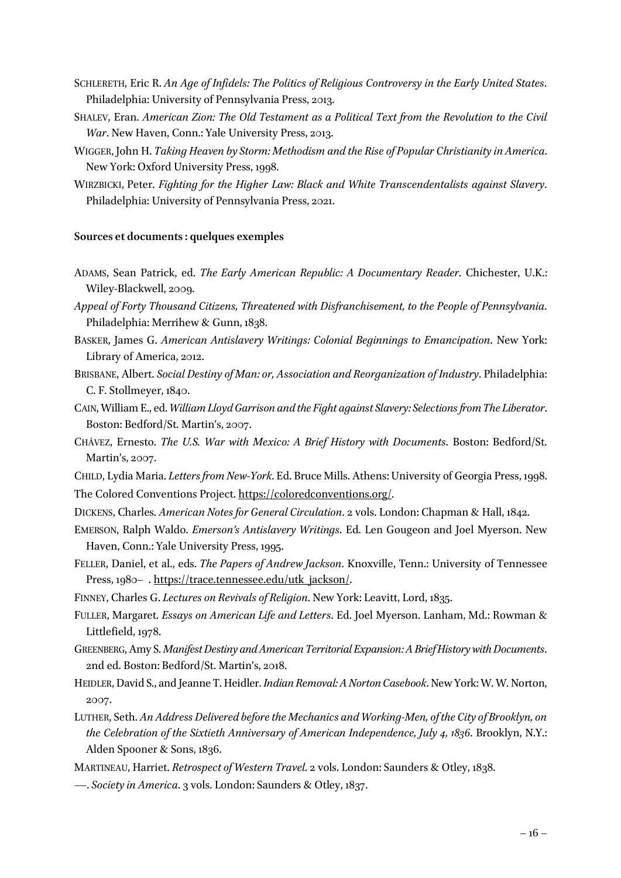- SCHLERETH, Eric R. *An Age of Infidels: The Politics of Religious Controversy in the Early United States*. Philadelphia: University of Pennsylvania Press, 2013.
- SHALEV, Eran. *American Zion: The Old Testament as a Political Text from the Revolution to the Civil War*. New Haven, Conn.: Yale University Press, 2013.
- WIGGER, John H. *Taking Heaven by Storm: Methodism and the Rise of Popular Christianity in America*. New York: Oxford University Press, 1998.
- WIRZBICKI, Peter. *Fighting for the Higher Law: Black and White Transcendentalists against Slavery*. Philadelphia: University of Pennsylvania Press, 2021.

#### **Sources et documents: quelques exemples**

- ADAMS, Sean Patrick, ed. *The Early American Republic: A Documentary Reader*. Chichester, U.K.: Wiley-Blackwell, 2009.
- *Appeal of Forty Thousand Citizens, Threatened with Disfranchisement, to the People of Pennsylvania*. Philadelphia: Merrihew & Gunn, 1838.
- BASKER, James G. *American Antislavery Writings: Colonial Beginnings to Emancipation*. New York: Library of America, 2012.
- BRISBANE, Albert. *Social Destiny of Man: or, Association and Reorganization of Industry*. Philadelphia: C. F. Stollmeyer, 1840.
- CAIN, William E., ed. *William Lloyd Garrison and the Fight against Slavery: Selectionsfrom The Liberator*. Boston: Bedford/St. Martin's, 2007.
- CHÁVEZ, Ernesto. *The U.S. War with Mexico: A Brief History with Documents*. Boston: Bedford/St. Martin's, 2007.
- CHILD, Lydia Maria. *Letters from New-York*. Ed. Bruce Mills. Athens: University of Georgia Press, 1998.

The Colored Conventions Project. https://coloredconventions.org/.

- DICKENS, Charles. *American Notes for General Circulation*. 2 vols. London: Chapman & Hall, 1842.
- EMERSON, Ralph Waldo. *Emerson's Antislavery Writings*. Ed. Len Gougeon and Joel Myerson. New Haven, Conn.: Yale University Press, 1995.
- FELLER, Daniel, et al., eds. *The Papers of Andrew Jackson*. Knoxville, Tenn.: University of Tennessee Press, 1980– . https://trace.tennessee.edu/utk\_jackson/.

FINNEY, Charles G. *Lectures on Revivals of Religion*. New York: Leavitt, Lord, 1835.

- FULLER, Margaret. *Essays on American Life and Letters*. Ed. Joel Myerson. Lanham, Md.: Rowman & Littlefield, 1978.
- GREENBERG, Amy S. *Manifest Destiny and American Territorial Expansion: A Brief History with Documents*. 2nd ed. Boston: Bedford/St. Martin's, 2018.
- HEIDLER, David S., and Jeanne T. Heidler. *Indian Removal: A Norton Casebook*. New York: W. W. Norton, 2007.
- LUTHER, Seth. *An Address Delivered before the Mechanics and Working-Men, of the City of Brooklyn, on the Celebration of the Sixtieth Anniversary of American Independence, July 4, 1836*. Brooklyn, N.Y.: Alden Spooner & Sons, 1836.
- MARTINEAU, Harriet. *Retrospect of Western Travel*. 2 vols. London: Saunders & Otley, 1838.
- —. *Society in America*. 3 vols. London: Saunders & Otley, 1837.